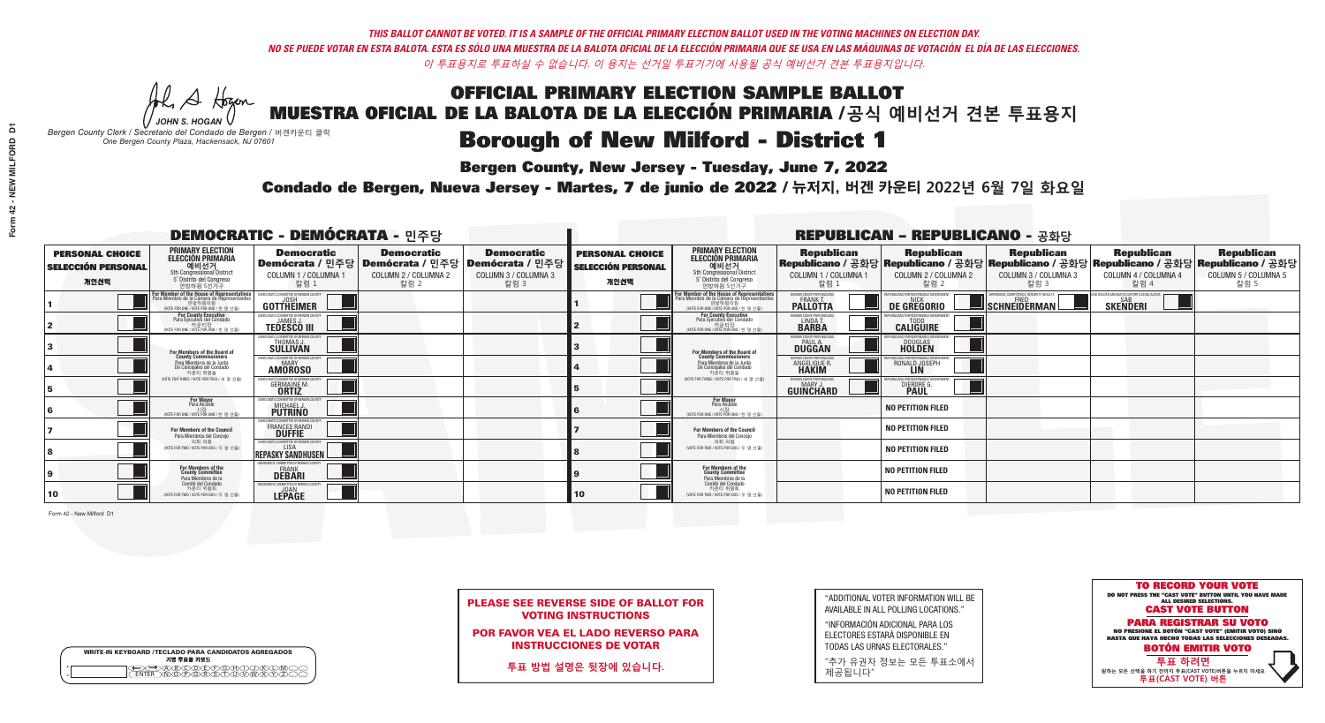### OFFICIAL PRIMARY ELECTION SAMPLE BALLOT MUESTRA OFICIAL DE LA BALOTA DE LA ELECCIÓN PRIMARIA /**공식 예비선거 견본 투표용지** Borough of New Milford - District 1

A Hogan

**Bergen County, New Jersey - Tuesday, June 7, 2022** 

| <b>WRITE-IN KEYBOARD /TECLADO PARA CANDIDATOS AGREGADOS</b><br>기명 투표용 키보드 |  |
|---------------------------------------------------------------------------|--|
| DA BOORDDOADDIND<br>DIN OPORSIDUUWXY<br><b>ENTER</b>                      |  |

*JOHN S. HOGAN Bergen County Clerk / Secretario del Condado de Bergen /* 버겐카운티 클럭 *One Bergen County Plaza, Hackensack, NJ 07601*

Condado de Bergen, Nueva Jersey - Martes, 7 de junio de 2022 / 뉴저지, 버겐 카운티 2022년 6월 7일 화요일 *One Bergen County Plaza, Hackensack, NJ 07601*



PLEASE SEE REVERSE SIDE OF BALLOT FOR VOTING INSTRUCTIONS

POR FAVOR VEA EL LADO REVERSO PARA INSTRUCCIONES DE VOTAR

**투표 방법 설명은 뒷장에 있습니다.**

"ADDITIONAL VOTER INFORMATION WILL BE AVAILABLE IN ALL POLLING LOCATIONS."

"INFORMACIÓN ADICIONAL PARA LOS ELECTORES ESTARÁ DISPONIBLE EN TODAS LAS URNAS ELECTORALES."

"추가 유권자 정보는 모든 투표소에서 제공됩니다"

| <b>DEMOCRATIC - DEMÓCRATA - 민주당</b>                         |                                                                                                                                             |                                                                    |                                                                                                       |                                                   |                                                             |                                                                                                                                                             |                                                               | <b>REPUBLICAN - REPUBLICANO - 공화당</b>             |                                                                                                                                                 |                                                   |                                                   |
|-------------------------------------------------------------|---------------------------------------------------------------------------------------------------------------------------------------------|--------------------------------------------------------------------|-------------------------------------------------------------------------------------------------------|---------------------------------------------------|-------------------------------------------------------------|-------------------------------------------------------------------------------------------------------------------------------------------------------------|---------------------------------------------------------------|---------------------------------------------------|-------------------------------------------------------------------------------------------------------------------------------------------------|---------------------------------------------------|---------------------------------------------------|
| <b>PERSONAL CHOICE</b><br><b>SELECCIÓN PERSONAL</b><br>개인선택 | <b>PRIMARY ELECTION</b><br>ELECCIÓN PRIMARIA<br>예비선거<br><sub>5th Congressional District</sub><br>5° Distrito del Congreso<br>연방하원 5선거구      | <b>Democratic</b><br>COLUMN 1 / COLUMNA 1<br>칼럼 :                  | <b>Democratic</b><br>│Demócrata / 민주당│Demócrata / 민주당│Demócrata / 민주당<br>COLUMN 2 / COLUMNA 2<br>칼럼 2 | <b>Democratic</b><br>COLUMN 3 / COLUMNA 3<br>칼럼 3 | <b>PERSONAL CHOICE</b><br><b>SELECCIÓN PERSONAL</b><br>개인선택 | <b>PRIMARY ELECTION</b><br>ELECCIÓN PRIMARIA<br>5th Congressional District<br>5° Distrito del Congreso<br>연방하원 5선거구                                         | <b>Republican</b><br>COLUMN 1 / COLUMNA 1<br>칼럼               | <b>Republican</b><br>COLUMN 2 / COLUMNA 2<br>칼럼 2 | <b>Republican</b><br>│Republicano / 공화당│Republicano / 공화당│Republicano / 공화당│Republicano / 공화당│Republicano / 공화당<br>COLUMN 3 / COLUMNA 3<br>칼럼 3 | <b>Republican</b><br>COLUMN 4 / COLUMNA 4<br>칼럼 4 | <b>Republican</b><br>COLUMN 5 / COLUMNA 5<br>칼럼 5 |
|                                                             | or Member of the House of Representatives<br>ara Miembro de la Cámara de Representantes<br>연방하원의원<br>(VOTE FOR ONE / VOTE POR UNO / 한 명 선출) | GOTTHEIMER                                                         |                                                                                                       |                                                   |                                                             | F <mark>or Member of the House of Representatives</mark><br>Para Miembro de la Cámara de Representantes<br>연방하원의원<br>(VOTE FOR ONE / VOTE POR UNO / 한 명 선출) | ERGEN COUNTY REPUBLICAN<br><b>PALLOTTA</b>                    | DE GREGORIO                                       | SCHNEIDERMAN                                                                                                                                    | <b>SKENDERI</b>                                   |                                                   |
|                                                             | <b>For County Executive</b><br>Para Ejecutivo del Condado<br>가운티장<br>(VOTE FOR ONE / VOTE POR UNO / 한 명 선출)                                 | DEMOCRATIC COMMITTEE OF BERGEN COUNTY<br><b>TEDESCO III</b>        |                                                                                                       |                                                   |                                                             | For County Executive<br>Para Ejecutivo del Condado<br>가운티장<br>(VOTE FOR ONE / VOTE POR UNO / 한 명 선출)                                                        | BERGEN COUNTY REPUBLICAN.<br>LINDA T.                         | <b>CALIGUIRE</b>                                  |                                                                                                                                                 |                                                   |                                                   |
|                                                             | For Members of the Board of<br>County Commissioners                                                                                         | MOCRATIC COMMITTEE OF BERGEN CO<br>THOMAS J.                       |                                                                                                       |                                                   |                                                             | For Members of the Board of<br>County Commissioners                                                                                                         | ERGEN COUNTY REPUBLICAN<br><b>PAUL A.</b><br><b>DUGGAN</b>    | <b>DOUGLAS</b>                                    |                                                                                                                                                 |                                                   |                                                   |
|                                                             | Para Miembros de la Junta<br>De Concejales del Condado<br>카우티 위원들                                                                           | <b>MOCRATIC COMMITTEE OF BERGEN COUNT</b><br><b>AMOROSO</b>        |                                                                                                       |                                                   |                                                             | Para Miembros de la Junta<br>De Concejales del Condado<br>카우티 위원들                                                                                           | ERGEN COUNTY REPUBLICAN<br><b>ANGELIQUE F</b><br><b>HAKIM</b> | RONALD JOSEPH                                     |                                                                                                                                                 |                                                   |                                                   |
|                                                             | (VOTE FOR THREE / VOTE POR TRES / 세 명 선출)                                                                                                   | <b>GERMAINE M.</b><br><b>ORTIZ</b>                                 |                                                                                                       |                                                   |                                                             | (VOTE FOR THREE / VOTE POR TRES / 세 명 선출)                                                                                                                   | ERGEN COUNTY REPUBLICANS<br><b>GUINCHARD</b>                  | DIERDRE G.                                        |                                                                                                                                                 |                                                   |                                                   |
|                                                             | For Mayor<br>Para Alcalde                                                                                                                   | MOCRATIC COMMITTEE OF RERGEN COUNT<br>MICHAEL J.<br><b>PUTRINO</b> |                                                                                                       |                                                   |                                                             | For Mayor<br>Para Alcalde<br>NOTE FOR ONE / VOTE POR UNO / 한 명 선출)                                                                                          |                                                               | <b>NO PETITION FILED</b>                          |                                                                                                                                                 |                                                   |                                                   |
|                                                             | For Members of the Council<br>Para Miembros del Conceio                                                                                     | DCRATIC COMMITTEE OF BERGEN COUNT<br>FRANCES RANDI                 |                                                                                                       |                                                   |                                                             | <b>For Members of the Council</b><br>Para Miembros del Conceio                                                                                              |                                                               | <b>NO PETITION FILED</b>                          |                                                                                                                                                 |                                                   |                                                   |
|                                                             | 의회 의원<br>(VOTE FOR TWO / VOTE POR DOS / 두 명 선출)                                                                                             | EMOCRATIC COMMITTEE OF BERGEN COUNTY<br><b>IISA</b>                |                                                                                                       |                                                   |                                                             | 의회 의원<br>NOTE FOR TWO / VOTE POR DOS / 두 명 선출)                                                                                                              |                                                               | <b>NO PETITION FILED</b>                          |                                                                                                                                                 |                                                   |                                                   |
|                                                             | For Members of the<br>County Committee<br>Para Miembros de la<br>Comité del Condado                                                         | : COMMITTEE OF BERGEN COUNT<br><b>DEBARI</b>                       |                                                                                                       |                                                   |                                                             | For Members of the<br>County Committee<br>Para Miembros de la<br>Comité del Condado                                                                         |                                                               | <b>NO PETITION FILED</b>                          |                                                                                                                                                 |                                                   |                                                   |
| 10                                                          | 카운티 위원회<br>(VOTE FOR TWO / VOTE POR DOS / 두 명 선출)                                                                                           | EMOCRATIC COMMITTEE OF BERGEN COUNTY<br><b>LEPAGE</b>              |                                                                                                       |                                                   | 10                                                          | 카운티 위원회<br>(VOTE FOR TWO / VOTE POR DOS / 두 명 선출)                                                                                                           |                                                               | <b>NO PETITION FILED</b>                          |                                                                                                                                                 |                                                   |                                                   |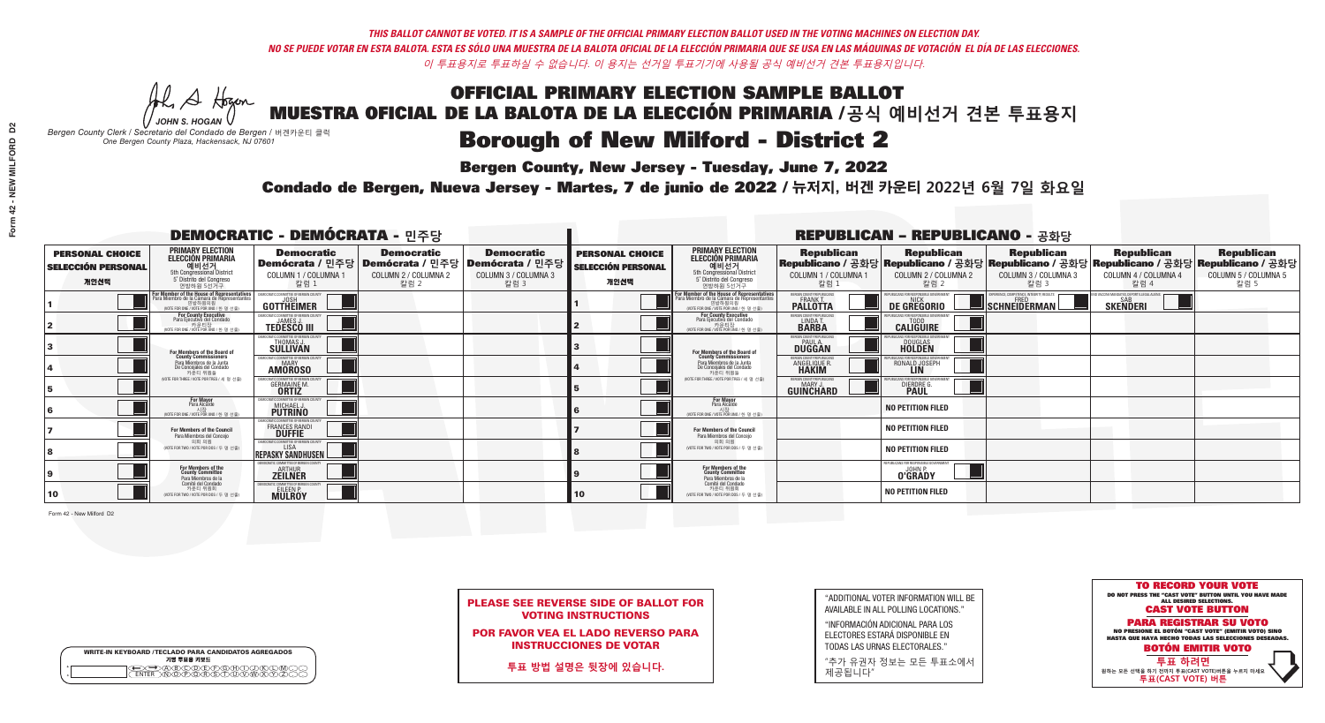A Hogan

| <b>WRITE-IN KEYBOARD /TECLADO PARA CANDIDATOS AGREGADOS</b><br>기명 투표용 키보드 |
|---------------------------------------------------------------------------|
| @®©®©©©®™©©®                                                              |

### OFFICIAL PRIMARY ELECTION SAMPLE BALLOT MUESTRA OFICIAL DE LA BALOTA DE LA ELECCIÓN PRIMARIA /**공식 예비선거 견본 투표용지**

*JOHN S. HOGAN Bergen County Clerk / Secretario del Condado de Bergen /* 버겐카운티 클럭 *One Bergen County Plaza, Hackensack, NJ 07601*

**Borough of New Milford - District 2** 

**Bergen County, New Jersey - Tuesday, June 7, 2022** 

Condado de Bergen, Nueva Jersey - Martes, 7 de junio de 2022 / 뉴저지, 버겐 카운티 2022년 6월 7일 화요일 *One Bergen County Plaza, Hackensack, NJ 07601*



PLEASE SEE REVERSE SIDE OF BALLOT FOR VOTING INSTRUCTIONS

POR FAVOR VEA EL LADO REVERSO PARA INSTRUCCIONES DE VOTAR

**투표 방법 설명은 뒷장에 있습니다.**

| "ADDITIONAL VOTER INFORMATION WILL BE |
|---------------------------------------|
| AVAILABLE IN ALL POLLING LOCATIONS."  |

"INFORMACIÓN ADICIONAL PARA LOS ELECTORES ESTARÁ DISPONIBLE EN TODAS LAS URNAS ELECTORALES."

"추가 유권자 정보는 모든 투표소에서 제공됩니다"

| <b>DEMOCRATIC - DEMÓCRATA - 민주당</b>                         |                                                                                                                                                     |                                                                                                        |                                                   |                                                   | <b>REPUBLICAN - REPUBLICANO - 공화당</b>                       |                                                                                                                                                      |                                                                   |                                                            |                                                                                                                                                 |                                                               |                                                   |
|-------------------------------------------------------------|-----------------------------------------------------------------------------------------------------------------------------------------------------|--------------------------------------------------------------------------------------------------------|---------------------------------------------------|---------------------------------------------------|-------------------------------------------------------------|------------------------------------------------------------------------------------------------------------------------------------------------------|-------------------------------------------------------------------|------------------------------------------------------------|-------------------------------------------------------------------------------------------------------------------------------------------------|---------------------------------------------------------------|---------------------------------------------------|
| <b>PERSONAL CHOICE</b><br><b>SELECCIÓN PERSONAL</b><br>개인선택 | <b>PRIMARY ELECTION</b><br>ELECCIÓN PRIMARIA<br>예비선거<br><sub>5th Congressional District</sub><br>5° Distrito del Congreso<br>연방하원 5선거구              | <b>Democratic</b><br>│Demócrata / 민주당│Demócrata / 민주당│Demócrata / 민주당│<br>COLUMN 1 / COLUMNA 1<br>칼럼 1 | <b>Democratic</b><br>COLUMN 2 / COLUMNA 2<br>칼럼 2 | <b>Democratic</b><br>COLUMN 3 / COLUMNA 3<br>칼럼 3 | <b>PERSONAL CHOICE</b><br><b>SELECCIÓN PERSONAL</b><br>개인선택 | <b>PRIMARY ELECTION</b><br>ELECCIÓN PRIMARIA<br>5th Congressional District<br>5° Distrito del Congreso<br>연방하원 5선거구                                  | <b>Republican</b><br>COLUMN 1 / COLUMNA 1<br>칼럼 :                 | <b>Republican</b><br>COLUMN 2 / COLUMNA 2<br>칼럼 2          | <b>Republican</b><br>│Republicano / 공화당│Republicano / 공화당│Republicano / 공화당│Republicano / 공화당│Republicano / 공화당<br>COLUMN 3 / COLUMNA 3<br>칼럼 3 | <b>Republican</b><br>COLUMN 4 / COLUMNA 4<br>칼럼 4             | <b>Republican</b><br>COLUMN 5 / COLUMNA 5<br>칼럼 5 |
|                                                             | <b>or Member of the House of Representatives<br/>ara Miembro de la Cámara de Representantes</b><br>연방하원의원<br>(VOTE FOR ONE / VOTE POR UNO / 한 명 선출) | C COMMITTEE OF BERGEN COUNTY<br>GOTTHEIMER                                                             |                                                   |                                                   |                                                             | <b>For Member of the House of Representatives</b><br>Para Miembro de la Cámara de Representantes<br>연방하원의원<br>(VOTE FOR ONE / VOTE POR UNO / 한 명 선출) | ERGEN COUNTY REPUBLICANS<br>FRANK T.<br><b>PALLOTTA</b>           | DE GREGORIO                                                | XPERIENCE, COMPETENCE, INTEGRITY, RESULTS<br>SCHNEIDERMAN                                                                                       | VACCINE MANDATES, DEPORT ILLEGAL ALIENS.  <br><b>SKENDERI</b> |                                                   |
|                                                             | <b>For County Executive</b><br>Para Ejecutivo del Condado<br>7 카운티장<br>(VOTE FOR ONE / VOTE POR UNO / 한 명 선출)                                       | EMOCRATIC COMMITTEE OF BERGEN COUNTY<br><b>TEDESCO III</b>                                             |                                                   |                                                   |                                                             | <b>For County Executive</b><br>Para Ejecutivo del Condado<br>7) 카운티장<br>(VOTE FOR ONE / VOTE POR UNO / 한 명 선출                                        | BERGEN COUNTY REPUBLICAN<br>LINDA T.                              | <b>CALIGUIRE</b>                                           |                                                                                                                                                 |                                                               |                                                   |
|                                                             | <b>For Members of the Board of<br/>County Commissioners</b>                                                                                         | MOCRATIC COMMITTEE OF BERGEN COUN<br>THOMAS J.                                                         |                                                   |                                                   |                                                             | For Members of the Board of<br>County Commissioners                                                                                                  | <b>ERGEN COUNTY REPUBLICAN</b><br><b>PAUL A.</b><br><b>DUGGAN</b> | <b>DOUGLAS</b><br><b>HOLDEN</b>                            |                                                                                                                                                 |                                                               |                                                   |
|                                                             | Para Miembros de la Junta<br>De Concejales del Condado<br>카우티 위원들                                                                                   | <i><b>MOCRATIC COMMITTEE OF BERGEN COUNT</b></i><br><b>AMOROSO</b>                                     |                                                   |                                                   |                                                             | Para Miembros de la Junta<br>De Concejales del Condado<br>카운티 위원들                                                                                    | ERGEN COUNTY REPUBLICAN<br><b>ANGELIQUE R<br/>HAKIM</b>           | RONALD JOSEPH                                              |                                                                                                                                                 |                                                               |                                                   |
|                                                             | NOTE FOR THREE / VOTE POR TRES / 세 명 선출)                                                                                                            | <b>GERMAINE M.</b>                                                                                     |                                                   |                                                   |                                                             | (VOTE FOR THREE / VOTE POR TRES / 세 명 선출)                                                                                                            | ERGEN COUNTY REPUBLICANS<br>GUINCHARD                             | DIERDRE G.                                                 |                                                                                                                                                 |                                                               |                                                   |
|                                                             | <b>For Mayor</b><br>Para Alcalde<br>NOTE FOR ONE / VOTE POR UNO / 한 명 선원                                                                            | MOCRATIC COMMITTEE OF RERGEN O<br>MICHAEL J.                                                           |                                                   |                                                   |                                                             | For Mayor<br>Para Alcalde<br>(VOTE FOR ONE / VOTE POR UNO / 한 명 선출                                                                                   |                                                                   | <b>NO PETITION FILED</b>                                   |                                                                                                                                                 |                                                               |                                                   |
|                                                             | For Members of the Council<br>Para Miembros del Conceio                                                                                             | <b>FRANCES RANDI</b>                                                                                   |                                                   |                                                   |                                                             | <b>For Members of the Council</b><br>Para Miembros del Conceio                                                                                       |                                                                   | <b>NO PETITION FILED</b>                                   |                                                                                                                                                 |                                                               |                                                   |
|                                                             | 의회 의원<br>(VOTE FOR TWO / VOTE POR DOS / 두 명 선출)                                                                                                     | EMOCRATIC COMMITTEE OF BERGEN COUNTY<br><b>LISA</b><br>REPASKY SANDHUSEN                               |                                                   |                                                   |                                                             | 의회 의원<br>NOTE FOR TWO / VOTE POR DOS / 두 명 선출)                                                                                                       |                                                                   | <b>NO PETITION FILED</b>                                   |                                                                                                                                                 |                                                               |                                                   |
|                                                             | For Members of the<br>County Committee<br>Para Miembros de la                                                                                       | <b>MOCRATIC COMMITTEE OF BERGEN COUNTY</b><br><b>ZEILNER</b>                                           |                                                   |                                                   |                                                             | For Members of the<br>County Committee<br>Para Miembros de la<br>Comité del Condado                                                                  |                                                                   | PUBLICANS FOR RESPONSIBLE GOVERNMENT<br>JOHN P.<br>0'GRADY |                                                                                                                                                 |                                                               |                                                   |
| 10                                                          | Comité del Condado<br>카운티 위원회<br>(VOTE FOR TWO / VOTE POR DOS / 두 명 선출)                                                                             | OCRATIC COMMITTEE OF BERGEN COUNTY<br>EILEEN P.                                                        |                                                   |                                                   | 10                                                          | 카운티 위원회<br>(VOTE FOR TWO / VOTE POR DOS / 두 명 선출)                                                                                                    |                                                                   | <b>NO PETITION FILED</b>                                   |                                                                                                                                                 |                                                               |                                                   |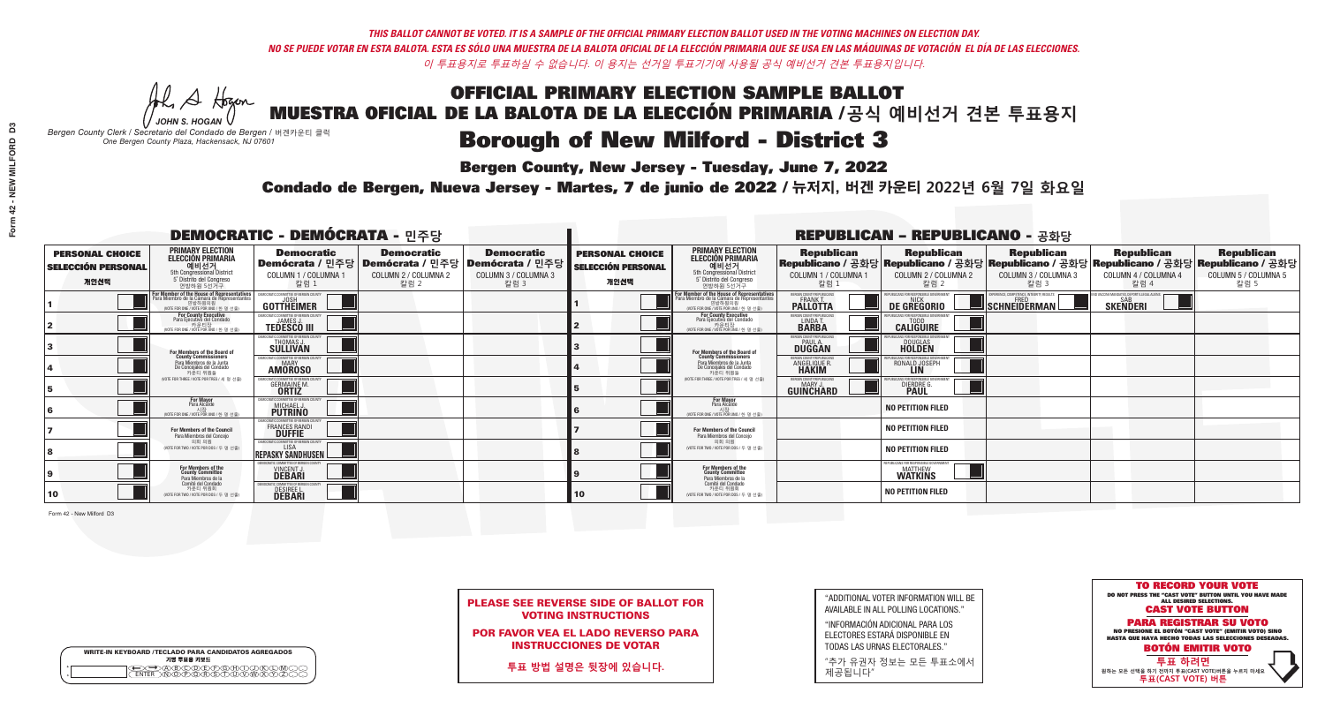A Hogan *JOHN S. HOGAN*

| <b>WRITE-IN KEYBOARD /TECLADO PARA CANDIDATOS AGREGADOS</b><br>기명 투표용 키보드 |
|---------------------------------------------------------------------------|
|                                                                           |

MUESTRA OFICIAL DE LA BALOTA DE LA ELECCIÓN PRIMARIA /**공식 예비선거 견본 투표용지** *Bergen County Clerk / Secretario del Condado de Bergen /* 버겐카운티 클럭

### Borough of New Milford - District 3

**Bergen County, New Jersey - Tuesday, June 7, 2022** 

*One Bergen County Plaza, Hackensack, NJ 07601*

Condado de Bergen, Nueva Jersey - Martes, 7 de junio de 2022 / 뉴저지, 버겐 카운티 2022년 6월 7일 화요일 *One Bergen County Plaza, Hackensack, NJ 07601*



PLEASE SEE REVERSE SIDE OF BALLOT FOR VOTING INSTRUCTIONS

POR FAVOR VEA EL LADO REVERSO PARA INSTRUCCIONES DE VOTAR

**투표 방법 설명은 뒷장에 있습니다.**

| "ADDITIONAL VOTER INFORMATION WILL BE |
|---------------------------------------|
| AVAILABLE IN ALL POLLING LOCATIONS."  |

"INFORMACIÓN ADICIONAL PARA LOS ELECTORES ESTARÁ DISPONIBLE EN TODAS LAS URNAS ELECTORALES."

"추가 유권자 정보는 모든 투표소에서 제공됩니다"

| <b>DEMOCRATIC - DEMÓCRATA - 민주당</b>                         |                                                                                                                                              |                                                                                   |                                                                                                       |                                                   | <b>REPUBLICAN - REPUBLICANO - 공화당</b>                       |                                                                                                                                                      |                                                               |                                                                        |                                                                                                                                                 |                                                   |                                                   |
|-------------------------------------------------------------|----------------------------------------------------------------------------------------------------------------------------------------------|-----------------------------------------------------------------------------------|-------------------------------------------------------------------------------------------------------|---------------------------------------------------|-------------------------------------------------------------|------------------------------------------------------------------------------------------------------------------------------------------------------|---------------------------------------------------------------|------------------------------------------------------------------------|-------------------------------------------------------------------------------------------------------------------------------------------------|---------------------------------------------------|---------------------------------------------------|
| <b>PERSONAL CHOICE</b><br><b>SELECCIÓN PERSONAL</b><br>개인선택 | <b>PRIMARY ELECTION</b><br>ELECCIÓN PRIMARIA<br>예비선거<br><sub>5th Congressional District</sub><br>5° Distrito del Congreso<br>연방하원 5선거구       | <b>Democratic</b><br>COLUMN 1 / COLUMNA 1<br>칼럼 1                                 | <b>Democratic</b><br>│Demócrata / 민주당│Demócrata / 민주당│Demócrata / 민주당<br>COLUMN 2 / COLUMNA 2<br>칼럼 2 | <b>Democratic</b><br>COLUMN 3 / COLUMNA 3<br>칼럼 3 | <b>PERSONAL CHOICE</b><br><b>SELECCIÓN PERSONAL</b><br>개인선택 | <b>PRIMARY ELECTION</b><br>ELECCIÓN PRIMARIA<br>5th Congressional District<br>5° Distrito del Congreso<br>연방하원 5선거구                                  | <b>Republican</b><br>COLUMN 1 / COLUMNA 1<br>칼럼               | <b>Republican</b><br>COLUMN 2 / COLUMNA 2<br>칼럼 2                      | <b>Republican</b><br> Republicano / 공화당 Republicano / 공화당 Republicano / 공화당 Republicano / 공화당 Republicano / 공화당<br>COLUMN 3 / COLUMNA 3<br>칼럼 3 | <b>Republican</b><br>COLUMN 4 / COLUMNA 4<br>칼럼 4 | <b>Republican</b><br>COLUMN 5 / COLUMNA 5<br>칼럼 5 |
|                                                             | or Member of the House of Representatives<br>Para Miembro de la Cámara de Representantes<br>연방하원의원<br>(VOTE FOR ONE / VOTE POR UNO / 한 명 선출) | GOTTHEIMER                                                                        |                                                                                                       |                                                   |                                                             | <b>For Member of the House of Representatives<br/>Para Miembro de la Cámara de Representantes</b><br>연방하원의원<br>(VOTE FOR ONE / VOTE POR UNO / 한 명 선출 | ERGEN COUNTY REPUBLICANS<br><b>PALLOTTA</b>                   | DE GREGORIO                                                            | (PERIENCE, COMPETENCE, INTEGRITY, RESULTS<br>SCHNEIDERMAN                                                                                       | <b>SKENDERI</b>                                   |                                                   |
|                                                             | <b>For County Executive</b><br>Para Ejecutivo del Condado<br>WOTE FOR ONE / VOTE POR UNO / 한 명 선출)                                           | EMOCRATIC COMMITTEE OF BERGEN COUNT<br><b>TEDESCO III</b>                         |                                                                                                       |                                                   |                                                             | For County Executive<br>Para Ejecutivo del Condado<br>기운티상<br>(VOTE FOR ONE/VOTE POR UNO / 한 명 선출)                                                   | ERGEN COUNTY REPUBLICAN<br>LINDA T.                           | <b>CALIGUIRE</b>                                                       |                                                                                                                                                 |                                                   |                                                   |
|                                                             | For Members of the Board of<br>County Commissioners                                                                                          | EMOCRATIC COMMITTEE OF BERGEN CI<br>THOMAS J.                                     |                                                                                                       |                                                   |                                                             | For Members of the Board of<br>County Commissioners                                                                                                  | ERGEN COUNTY REPUBLICAN<br><b>PAUL A.</b><br><b>DUGGAN</b>    | <b>DOUGLAS</b>                                                         |                                                                                                                                                 |                                                   |                                                   |
|                                                             | Para Miembros de la Junta<br>De Concejales del Condado<br>카우티 위원들                                                                            | MOCRATIC COMMITTEE OF BERGEN CO<br><b>AMOROSO</b>                                 |                                                                                                       |                                                   |                                                             | Para Miembros de la Junta<br>De Concejales del Condado<br>카운티 위원들                                                                                    | ERGEN COUNTY REPUBLICAN<br><b>ANGELIQUE F</b><br><b>HAKIM</b> | RONALD JOSEPH                                                          |                                                                                                                                                 |                                                   |                                                   |
|                                                             | NOTE FOR THREE / VOTE POR TRES / 세 명 선출)                                                                                                     | JTIC COMMITTEE OF RERGEN COI<br><b>GERMAINE M.</b>                                |                                                                                                       |                                                   |                                                             | (VOTE FOR THREE / VOTE POR TRES / 세 명 선출)                                                                                                            | <b>ERGEN COUNTY REPUBLICANS</b><br><b>GUINCHARD</b>           | ILICANS FOR RESPONSIBLE G<br>DIERDRE G.                                |                                                                                                                                                 |                                                   |                                                   |
|                                                             | For Mayor<br>Para Alcalde<br>(VOTE FOR ONE / VOTE POR UNO / 한 명 선                                                                            | MOCRATIC COMMITTEE OF BERGEN CI<br>MICHAEL J.                                     |                                                                                                       |                                                   |                                                             | For Mayor<br>Para Alcalde<br>NOTE FOR ONE / VOTE POR UNO / 한 명 선출)                                                                                   |                                                               | <b>NO PETITION FILED</b>                                               |                                                                                                                                                 |                                                   |                                                   |
|                                                             | For Members of the Council<br>Para Miembros del Conceio                                                                                      | <b>FRANCES RANDI</b>                                                              |                                                                                                       |                                                   |                                                             | <b>For Members of the Council</b><br>Para Miembros del Conceio                                                                                       |                                                               | <b>NO PETITION FILED</b>                                               |                                                                                                                                                 |                                                   |                                                   |
|                                                             | 의회 의원<br>(VOTE FOR TWO / VOTE POR DOS / 두 명 선출)                                                                                              | EMOCRATIC COMMITTEE OF BERGEN COUNTY<br><b>LISA</b><br><b>REPASKY SÄNDHUSEN L</b> |                                                                                                       |                                                   |                                                             | 의회 의원<br>NOTE FOR TWO / VOTE POR DOS / 두 명 선출)                                                                                                       |                                                               | <b>NO PETITION FILED</b>                                               |                                                                                                                                                 |                                                   |                                                   |
|                                                             | For Members of the<br>County Committee<br>Para Miembros de la                                                                                | CRATIC COMMITTEE OF BERGEN COUNTY<br><b>VINCENT J.</b><br><b>DEBARI</b>           |                                                                                                       |                                                   |                                                             | For Members of the<br>County Committee<br>Para Miembros de la<br>Comité del Condado                                                                  |                                                               | UBLICANS FOR RESPONSIBLE GOVERNMEN<br><b>WATTHEW</b><br><b>WATKINS</b> |                                                                                                                                                 |                                                   |                                                   |
| 10                                                          | Comité del Condado<br>카운티 위원회<br>(VOTE FOR TWO / VOTE POR DOS / 두 명 선출)                                                                      | ATIC COMMITTEE OF BERGEN COUNT<br>DESIREE L.                                      |                                                                                                       |                                                   | 10                                                          | 카운티 위원회<br>(VOTE FOR TWO / VOTE POR DOS / 두 명 선출)                                                                                                    |                                                               | <b>NO PETITION FILED</b>                                               |                                                                                                                                                 |                                                   |                                                   |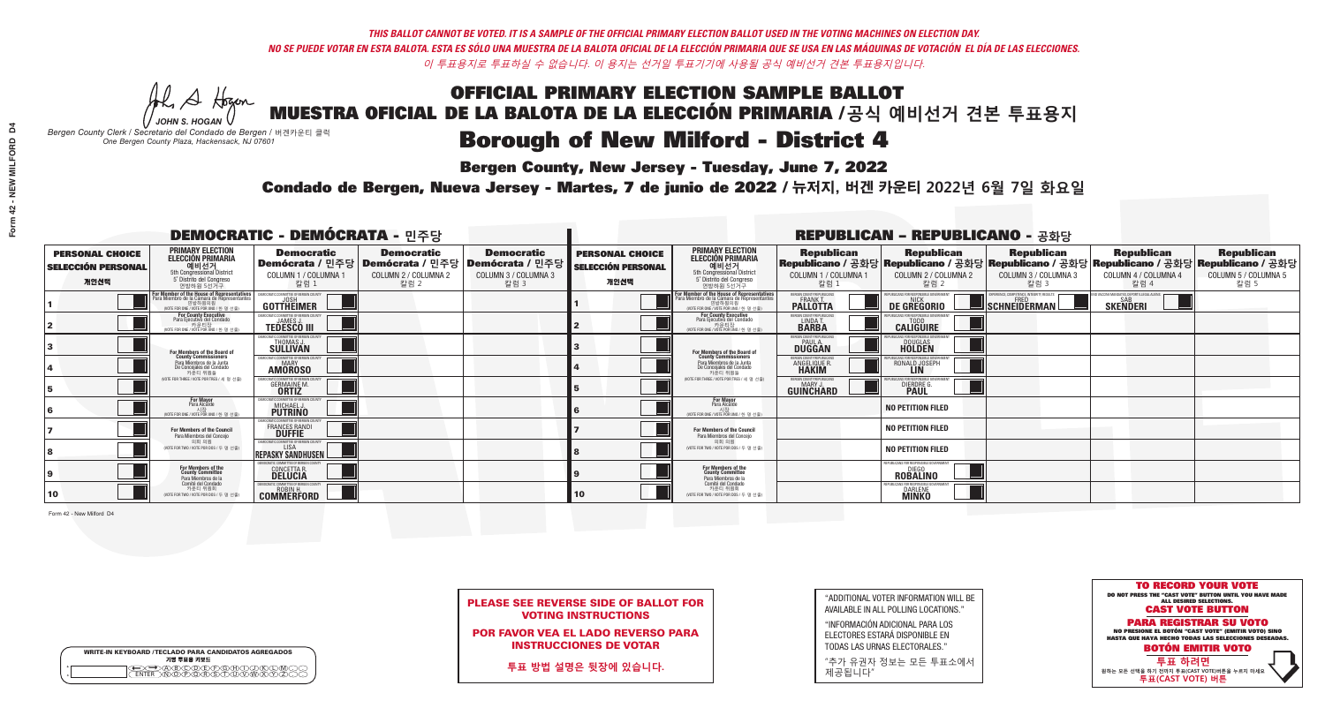A Hogan *JOHN S. HOGAN*

| <b>WRITE-IN KEYBOARD /TECLADO PARA CANDIDATOS AGREGADOS</b><br>기명 투표용 키보드 |  |
|---------------------------------------------------------------------------|--|
| @@@@@@@@@Q@@<br>`@@@@@@@@@@@@@@@@                                         |  |

MUESTRA OFICIAL DE LA BALOTA DE LA ELECCIÓN PRIMARIA /**공식 예비선거 견본 투표용지**

*Bergen County Clerk / Secretario del Condado de Bergen /* 버겐카운티 클럭 *One Bergen County Plaza, Hackensack, NJ 07601*

### Borough of New Milford - District 4

**Bergen County, New Jersey - Tuesday, June 7, 2022** 



| <b>PLEASE SEE REVERSE SIDE OF BALLOT FOR</b> |
|----------------------------------------------|
| <b>VOTING INSTRUCTIONS</b>                   |

POR FAVOR VEA EL LADO REVERSO PARA INSTRUCCIONES DE VOTAR

**투표 방법 설명은 뒷장에 있습니다.**

| "ADDITIONAL VOTER INFORMATION WILL BE |
|---------------------------------------|
| AVAILABLE IN ALL POLLING LOCATIONS."  |

"INFORMACIÓN ADICIONAL PARA LOS ELECTORES ESTARÁ DISPONIBLE EN TODAS LAS URNAS ELECTORALES."

"추가 유권자 정보는 모든 투표소에서 제공됩니다"

Condado de Bergen, Nueva Jersey - Martes, 7 de junio de 2022 / 뉴저지, 버겐 카운티 2022년 6월 7일 화요일 *One Bergen County Plaza, Hackensack, NJ 07601*

| <b>DEMOCRATIC - DEMÓCRATA - 민주당</b>                         |                                                                                                                                                     |                                                                       |                                                   |                                                                                                        |                                                             |                                                                                                                                                  |                                                                | <b>REPUBLICAN - REPUBLICANO - 공화당</b>             |                                                                                                                                                 |                                                   |                                                   |
|-------------------------------------------------------------|-----------------------------------------------------------------------------------------------------------------------------------------------------|-----------------------------------------------------------------------|---------------------------------------------------|--------------------------------------------------------------------------------------------------------|-------------------------------------------------------------|--------------------------------------------------------------------------------------------------------------------------------------------------|----------------------------------------------------------------|---------------------------------------------------|-------------------------------------------------------------------------------------------------------------------------------------------------|---------------------------------------------------|---------------------------------------------------|
| <b>PERSONAL CHOICE</b><br><b>SELECCIÓN PERSONAL</b><br>개인선택 | <b>PRIMARY ELECTION</b><br><b>ELECCIÓN PRIMARIA</b><br>예비선거<br><sup>5th</sup> Congressional District<br>5° Distrito del Congreso<br>연방하원 5선거구       | <b>Democratic</b><br>COLUMN 1 / COLUMNA 1<br>칼럼 1                     | <b>Democratic</b><br>COLUMN 2 / COLUMNA 2<br>칼럼 2 | <b>Democratic</b><br>│Demócrata / 민주당│Demócrata / 민주당│Demócrata / 민주당│<br>COLUMN 3 / COLUMNA 3<br>칼럼 3 | <b>PERSONAL CHOICE</b><br><b>SELECCIÓN PERSONAL</b><br>개인선택 | <b>PRIMARY ELECTION</b><br>ELECCIÓN PRIMARIA<br>5th Congressional District<br>5° Distrito del Congreso<br>연방하원 5선거구                              | <b>Republican</b><br>COLUMN 1 / COLUMNA 1<br>칼럼                | <b>Republican</b><br>COLUMN 2 / COLUMNA 2<br>칼럼 2 | <b>Republican</b><br> Republicano / 공화당 Republicano / 공화당 Republicano / 공화당 Republicano / 공화당 Republicano / 공화당<br>COLUMN 3 / COLUMNA 3<br>칼럼 3 | <b>Republican</b><br>COLUMN 4 / COLUMNA 4<br>칼럼 4 | <b>Republican</b><br>COLUMN 5 / COLUMNA 5<br>칼럼 5 |
|                                                             | <b>In Member of the House of Representatives<br/>Ira Miembro de la Cámara de Representantes</b><br>연방하원의원<br>(VOTE FOR ONE / VOTE POR UNO / 한 명 선출) | GOTTHEIMER                                                            |                                                   |                                                                                                        |                                                             | F <mark>or Member of the House of Representatives</mark><br>Para Miembro de la Cámara de Representantes<br>(VOTE FOR ONE / VOTE POR UNO / 한 명 선출 | ERGEN COUNTY REPUBLICAN<br><b>PALLOTTA</b>                     | DE GREGORIO                                       | SCHNEIDERMAN                                                                                                                                    | <b>SKENDERI</b>                                   |                                                   |
|                                                             | For County Executive<br>Para Ejecutivo del Condado<br>7 카운티장<br>(VOTE FOR ONE / VOTE POR UNO / 한 명 선출)                                              | JEMOCRATIC COMMITTEE OF BERGEN COUNTY<br><b>TEDESCO III</b>           |                                                   |                                                                                                        |                                                             | For County Executive<br>Para Ejecutivo del Condado<br>7) 카운티장<br>(VOTE FOR ONE / VOTE POR UNO / 한 명 선출                                           | BERGEN COUNTY REPUBLICAN<br>LINDA T.                           | <b>CALIGUIRE</b>                                  |                                                                                                                                                 |                                                   |                                                   |
|                                                             | For Members of the Board of<br>County Commissioners                                                                                                 | MOCRATIC COMMITTEE OF BERGEN COUN<br>THOMAS J.                        |                                                   |                                                                                                        |                                                             | For Members of the Board of<br>County Commissioners                                                                                              | ERGEN COUNTY REPUBLICAN<br><b>PAUL A.</b><br>DUGGAN            | <b>DOUGLAS</b>                                    |                                                                                                                                                 |                                                   |                                                   |
|                                                             | Para Miembros de la Junta<br>De Concejales del Condado<br>카우티 위원들                                                                                   | <b>OCRATIC COMMITTEE OF BERGEN COUNT</b><br><b>AMOROSO</b>            |                                                   |                                                                                                        |                                                             | Para Miembros de la Junta<br>De Concejales del Condado<br>카우티 위원들                                                                                | <b>ERGEN COUNTY REPUBLICAN</b><br><b>ANGELIQUE R<br/>HAKIM</b> | RONALD JOSEPH                                     |                                                                                                                                                 |                                                   |                                                   |
|                                                             | NOTE FOR THREE / VOTE POR TRES / 세 명 선출)                                                                                                            | RATIC COMMITTEE OF RERGEN COLIN<br><b>GERMAINE M.</b><br><b>ORTIZ</b> |                                                   |                                                                                                        |                                                             | (VOTE FOR THREE / VOTE POR TRES / 세 명 선출)                                                                                                        | ERGEN COUNTY REPUBLICANS<br><b>GUINCHARD</b>                   | DIERDRE G.                                        |                                                                                                                                                 |                                                   |                                                   |
|                                                             | <b>For Mayor</b><br>Para Alcalde<br>(VOTE FOR ONE / VOTE POR UNO / 한 명 신                                                                            | MICHAEL J.                                                            |                                                   |                                                                                                        |                                                             | For Mayor<br>Para Alcalde<br>VOTE FOR ONE / VOTE POR UNO / 한 명 선출                                                                                |                                                                | <b>NO PETITION FILED</b>                          |                                                                                                                                                 |                                                   |                                                   |
|                                                             | For Members of the Council<br>Para Miembros del Conceio                                                                                             | FRANCES RANDI                                                         |                                                   |                                                                                                        |                                                             | <b>For Members of the Council</b><br>Para Miembros del Concejo                                                                                   |                                                                | <b>NO PETITION FILED</b>                          |                                                                                                                                                 |                                                   |                                                   |
|                                                             | 의회 의원<br>(VOTE FOR TWO / VOTE POR DOS / 두 명 선출)                                                                                                     | EMOCRATIC COMMITTEE OF BERGEN COUNTY<br>REPASKY SANDHUSEN             |                                                   |                                                                                                        |                                                             | 의회 의원<br>NOTE FOR TWO / VOTE POR DOS / 두 명 선출)                                                                                                   |                                                                | <b>NO PETITION FILED</b>                          |                                                                                                                                                 |                                                   |                                                   |
|                                                             | For Members of the<br>County Committee<br>Para Miembros de la                                                                                       | IOCRATIC COMMITTEE OF BERGEN COUNTY<br>CONCETTA R.                    |                                                   |                                                                                                        |                                                             | For Members of the<br>County Committee<br>Para Miembros de la<br>Comité del Condado                                                              |                                                                | PUBLICANS FOR RESPONSIBLE GOVERNMENT<br>ROBALINO  |                                                                                                                                                 |                                                   |                                                   |
| 10                                                          | Comité del Condado<br>카운티 위원회<br>(VOTE FOR TWO / VOTE POR DOS / 두 명 선출)                                                                             | MOCRATIC COMMITTEE OF BERGEN COUNTY<br><b>COMMERFORD</b>              |                                                   |                                                                                                        | 10                                                          | 카운티 위원회<br>(VOTE FOR TWO / VOTE POR DOS / 두 명 선출)                                                                                                |                                                                | DARLENE<br><b>MINKO</b>                           |                                                                                                                                                 |                                                   |                                                   |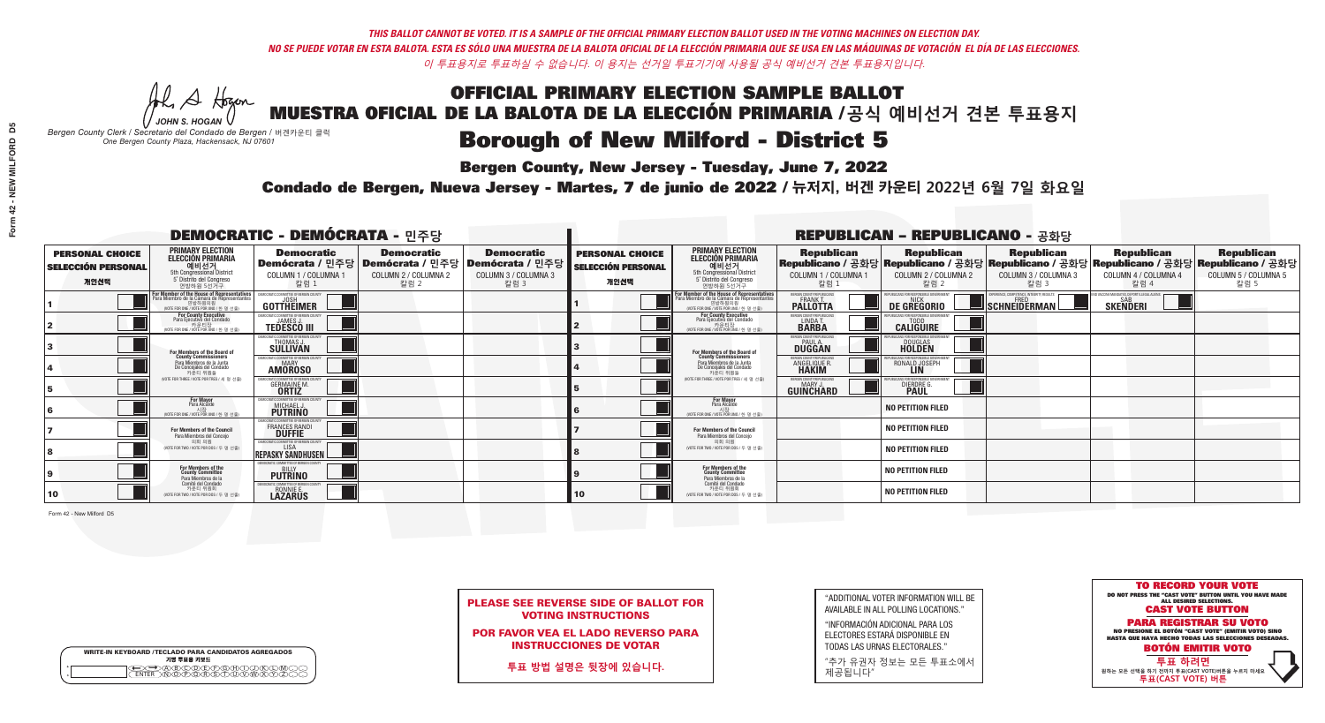A Hogan *JOHN S. HOGAN*

| <b>WRITE-IN KEYBOARD /TECLADO PARA CANDIDATOS AGREGADOS</b><br>기명 투표용 키보드 |
|---------------------------------------------------------------------------|
| )B)C)D)E)F)G)AND<br>እጅአል አል                                               |

MUESTRA OFICIAL DE LA BALOTA DE LA ELECCIÓN PRIMARIA /**공식 예비선거 견본 투표용지**

*Bergen County Clerk / Secretario del Condado de Bergen /* 버겐카운티 클럭 *One Bergen County Plaza, Hackensack, NJ 07601*

### Borough of New Milford - District 5

**Bergen County, New Jersey - Tuesday, June 7, 2022** 

Condado de Bergen, Nueva Jersey - Martes, 7 de junio de 2022 / 뉴저지, 버겐 카운티 2022년 6월 7일 화요일 *One Bergen County Plaza, Hackensack, NJ 07601*



PLEASE SEE REVERSE SIDE OF BALLOT FOR VOTING INSTRUCTIONS

POR FAVOR VEA EL LADO REVERSO PARA INSTRUCCIONES DE VOTAR

**투표 방법 설명은 뒷장에 있습니다.**

| "ADDITIONAL VOTER INFORMATION WILL BE |
|---------------------------------------|
| AVAILABLE IN ALL POLLING LOCATIONS."  |

"INFORMACIÓN ADICIONAL PARA LOS ELECTORES ESTARÁ DISPONIBLE EN TODAS LAS URNAS ELECTORALES."

"추가 유권자 정보는 모든 투표소에서 제공됩니다"

|                                                             |                                                                                                                                                       | <b>DEMOCRATIC - DEMÓCRATA - 민주당</b>                                                                    |                                                   |                                                   |                                                             |                                                                                                                                   |                                                             | <b>REPUBLICAN - REPUBLICANO - 공화당</b>                                                                                                          |                                                            |                                                                |                                                   |
|-------------------------------------------------------------|-------------------------------------------------------------------------------------------------------------------------------------------------------|--------------------------------------------------------------------------------------------------------|---------------------------------------------------|---------------------------------------------------|-------------------------------------------------------------|-----------------------------------------------------------------------------------------------------------------------------------|-------------------------------------------------------------|------------------------------------------------------------------------------------------------------------------------------------------------|------------------------------------------------------------|----------------------------------------------------------------|---------------------------------------------------|
| <b>PERSONAL CHOICE</b><br><b>SELECCIÓN PERSONAL</b><br>개인선택 | <b>PRIMARY ELECTION</b><br>ELECCIÓN PRIMARIA<br>예비선거<br><sub>5th Congressional District</sub><br>5° Distrito del Congreso<br>연방하원 5선거구                | <b>Democratic</b><br>│Demócrata / 민주당│Demócrata / 민주당│Demócrata / 민주당│<br>COLUMN 1 / COLUMNA 1<br>칼럼 1 | <b>Democratic</b><br>COLUMN 2 / COLUMNA 2<br>칼럼 2 | <b>Democratic</b><br>COLUMN 3 / COLUMNA 3<br>칼럼 3 | <b>PERSONAL CHOICE</b><br><b>SELECCIÓN PERSONAL</b><br>개인선택 | <b>PRIMARY ELECTION</b><br>ELECCIÓN PRIMARIA<br>5th Congressional District<br>5° Distrito del Congreso<br>연방하원 5선거구               | <b>Republican</b><br>COLUMN 1 / COLUMNA 1<br>칼럼 :           | <b>Republican</b><br>Republicano / 공화당 Republicano / 공화당 Republicano / 공화당 Republicano / 공화당 Republicano / 공화당<br>COLUMN 2 / COLUMNA 2<br>칼럼 2 | <b>Republican</b><br>COLUMN 3 / COLUMNA 3<br>칼럼 3          | <b>Republican</b><br>COLUMN 4 / COLUMNA 4<br>칼럼 4              | <b>Republican</b><br>COLUMN 5 / COLUMNA 5<br>칼럼 5 |
|                                                             | F <b>or Member of the House of Representatives</b><br>Para Miembro de la Cámara de Representantes<br>연방하원의원<br>(VOTE FOR ONE / VOTE POR UNO / 한 명 선출) | DEMOCRATIC COMMITTEE OF BERGEN COUNTY<br>JOSH<br>GOTTHEIMER                                            |                                                   |                                                   |                                                             | For Member of the House of Representatives<br>Para Miembro de la Cámara de Representantes<br>WOTE FOR ONE / VOTE POR UNO / 한 명 선출 | BERGEN COUNTY REPUBLICANS<br><b>PALLOTTA</b>                | DE GREGORIO                                                                                                                                    | EXPERIENCE, COMPETENCE, INTEGRITY, RESULTS<br>SCHNEIDERMAN | ND VACCINE MANDATES, DEPORT ILLEGAL ALIENS.<br><b>SKENDERI</b> |                                                   |
|                                                             | For County Executive<br>Para Ejecutivo del Condado<br>7 카운티장<br>(VOTE FOR ONE / VOTE POR UNO / 한 명 선출)                                                | <b>TEDESCO III</b>                                                                                     |                                                   |                                                   |                                                             | <b>For County Executive</b><br>Para Ejecutivo del Condado<br>WOTE FOR ONE / VOTE POR UNO / 한 명 선결                                 | BERGEN COUNTY REPUBLICAN<br>LINDA T.                        | <b>CALIGUIRE</b>                                                                                                                               |                                                            |                                                                |                                                   |
|                                                             | For Members of the Board of<br>County Commissioners                                                                                                   | EMOCRATIC COMMITTEE OF BERGEN COUNT<br><b>THOMAS J.</b><br><b>SULLIVAN</b>                             |                                                   |                                                   |                                                             | For Members of the Board of<br>County Commissioners                                                                               | BERGEN COUNTY REPUBLICAN<br><b>PAUL A.</b><br><b>DUGGAN</b> | <b>DOUGLAS</b><br><b>HOLDEN</b>                                                                                                                |                                                            |                                                                |                                                   |
|                                                             | Para Miembros de la Junta<br>De Concejales del Condado<br>카우티 위원들                                                                                     | OCRATIC COMMITTEE OF BERGEN COUNT<br><b>AMOROSO</b>                                                    |                                                   |                                                   |                                                             | Para Miembros de la Junta<br>De Concejales del Condado<br>카운티 위원들                                                                 | ERGEN COUNTY REPUBLICAN<br>ANGELIQUE R                      | RONALD JOSEPH<br><b>LIN</b>                                                                                                                    |                                                            |                                                                |                                                   |
|                                                             | NOTE FOR THREE / VOTE POR TRES / 세 명 선출)                                                                                                              | <b>GERMAINE M.</b><br><b>ORTIZ</b>                                                                     |                                                   |                                                   |                                                             | NOTE FOR THREE / VOTE POR TRES / 세 명 선출                                                                                           | ERGEN COUNTY REPUBLICANS<br>GUINCHARD                       | DIERDRE G                                                                                                                                      |                                                            |                                                                |                                                   |
|                                                             | For Mayor<br>Para Alcalde<br>시장<br>시장<br>(VOTE FOR ONE/VOTE POR UNO / 한 명 선출                                                                          | )CRATIC COMMITTEE OF BERGEN CO<br>MICHAEL J.                                                           |                                                   |                                                   |                                                             | <b>For Mayor</b><br>Para Alcalde<br>(VOTE FOR ONE / VOTE POR UNO / 한 명 선출                                                         |                                                             | <b>NO PETITION FILED</b>                                                                                                                       |                                                            |                                                                |                                                   |
|                                                             | For Members of the Council<br>Para Miembros del Conceio                                                                                               | MOCRATIC COMMITTEE OF BERGEN COUNT<br><b>FRANCES RANDI</b>                                             |                                                   |                                                   |                                                             | For Members of the Council<br>Para Miembros del Concejo                                                                           |                                                             | <b>NO PETITION FILED</b>                                                                                                                       |                                                            |                                                                |                                                   |
|                                                             | 의회 의원<br>(VOTE FOR TWO / VOTE POR DOS / 두 명 선출)                                                                                                       | <b>EMOCRATIC COMMITTEE OF BERGEN COUNTY</b><br><b>LISA</b><br><b>REPASKY SÄNDHUSEN</b>                 |                                                   |                                                   |                                                             | 의회 의원<br>WOTE FOR TWO / VOTE POR DOS / 두 명 선출)                                                                                    |                                                             | <b>NO PETITION FILED</b>                                                                                                                       |                                                            |                                                                |                                                   |
|                                                             | For Members of the<br>County Committee<br>Para Miembros de la                                                                                         | <i>A</i> OCRATIC COMMITTEE OF BERGEN COUNTY<br><b>PUTRINO</b>                                          |                                                   |                                                   |                                                             | For Members of the<br>County Committee<br>Para Miembros de la<br>Comité del Condado                                               |                                                             | <b>NO PETITION FILED</b>                                                                                                                       |                                                            |                                                                |                                                   |
| 10                                                          | Comité del Condado<br>카운티 위원회<br>(VOTE FOR TWO / VOTE POR DOS / 두 명 선출)                                                                               | MOCRATIC COMMITTEE OF BERGEN COUNT<br>RONNIE E.                                                        |                                                   |                                                   | 10                                                          | 카운티 위원회<br>(VOTE FOR TWO / VOTE POR DOS / 두 명 선출)                                                                                 |                                                             | NO PETITION FILED                                                                                                                              |                                                            |                                                                |                                                   |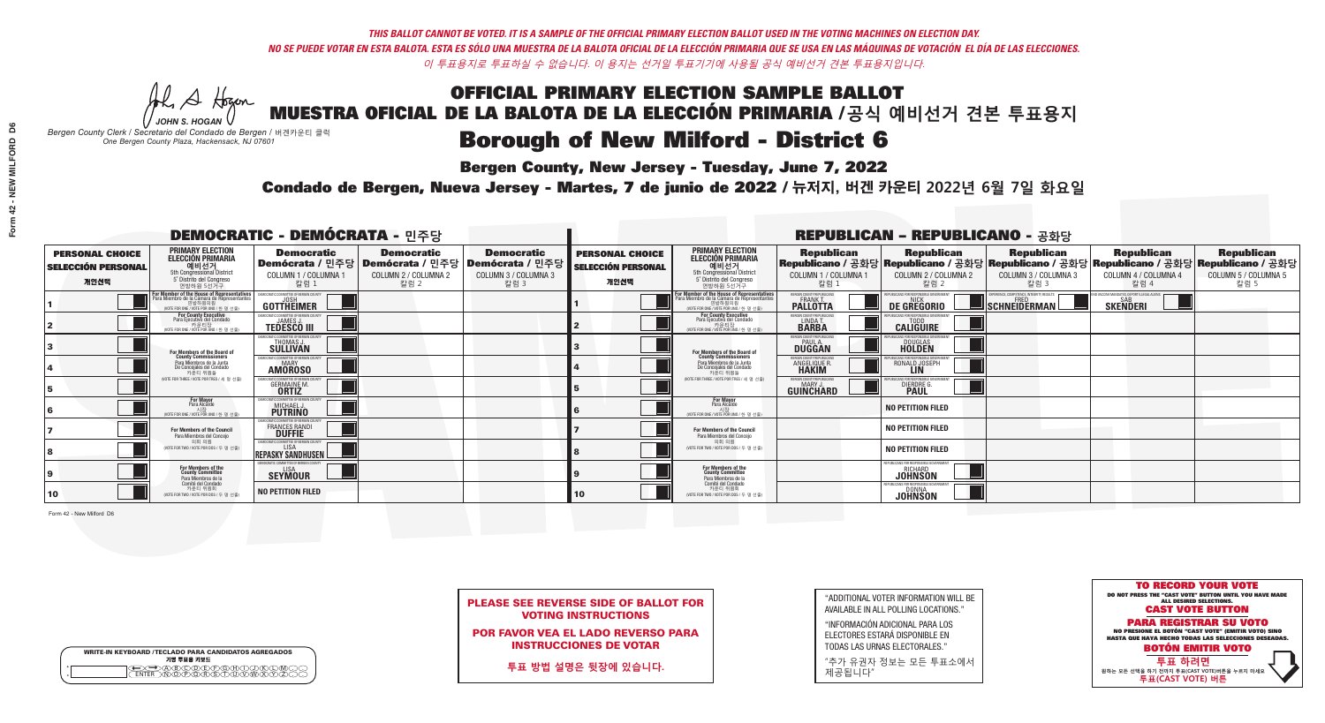A Hogan *JOHN S. HOGAN*

| <b>WRITE-IN KEYBOARD /TECLADO PARA CANDIDATOS AGREGADOS</b><br>기명 투표용 키보드 |
|---------------------------------------------------------------------------|
| <b>ABODE DO BODE</b><br>៶៳៓ឨ៳៓ឨ៶ឨ៶ឨ៶                                      |

MUESTRA OFICIAL DE LA BALOTA DE LA ELECCIÓN PRIMARIA /**공식 예비선거 견본 투표용지**

**'OR FAVOR VEA EL LADO REVERSO PARA** INSTRUCCIONES DE VOTAR

*Bergen County Clerk / Secretario del Condado de Bergen /* 버겐카운티 클럭 *One Bergen County Plaza, Hackensack, NJ 07601*

### Borough of New Milford - District 6

**Bergen County, New Jersey - Tuesday, June 7, 2022** 

Condado de Bergen, Nueva Jersey - Martes, 7 de junio de 2022 / 뉴저지, 버겐 카운티 2022년 6월 7일 화요일 *One Bergen County Plaza, Hackensack, NJ 07601*



PLEASE SEE REVERSE SIDE OF BALLOT FOR

| <b>VOTING INSTRUCTIONS</b>      |
|---------------------------------|
| DOD EAVOD VEA EL LADO DEVEDRO I |

**투표 방법 설명은 뒷장에 있습니다.**

"ADDITIONAL VOTER INFORMATION WILL BE AVAILABLE IN ALL POLLING LOCATIONS."

"INFORMACIÓN ADICIONAL PARA LOS ELECTORES ESTARÁ DISPONIBLE EN TODAS LAS URNAS ELECTORALES."

"추가 유권자 정보는 모든 투표소에서 제공됩니다"

|                                                             |                                                                                                                                               | <b>DEMOCRATIC - DEMÓCRATA - 민주당</b>                                        |                                                   |                                                                                                        | <b>REPUBLICAN - REPUBLICANO - 공화당</b>                       |                                                                                                                                                      |                                                              |                                                             |                                                                                                                                                |                                                   |                                                   |
|-------------------------------------------------------------|-----------------------------------------------------------------------------------------------------------------------------------------------|----------------------------------------------------------------------------|---------------------------------------------------|--------------------------------------------------------------------------------------------------------|-------------------------------------------------------------|------------------------------------------------------------------------------------------------------------------------------------------------------|--------------------------------------------------------------|-------------------------------------------------------------|------------------------------------------------------------------------------------------------------------------------------------------------|---------------------------------------------------|---------------------------------------------------|
| <b>PERSONAL CHOICE</b><br><b>SELECCIÓN PERSONAL</b><br>개인선택 | <b>PRIMARY ELECTION</b><br><b>ELECCIÓN PRIMARIA</b><br>예비선거<br><sup>5th</sup> Congressional District<br>5° Distrito del Congreso<br>연방하원 5선거구 | <b>Democratic</b><br>COLUMN 1 / COLUMNA 1<br>칼럼 1                          | <b>Democratic</b><br>COLUMN 2 / COLUMNA 2<br>칼럼 2 | <b>Democratic</b><br>│Demócrata / 민주당│Demócrata / 민주당│Demócrata / 민주당│<br>COLUMN 3 / COLUMNA 3<br>칼럼 3 | <b>PERSONAL CHOICE</b><br><b>SELECCIÓN PERSONAL</b><br>개인선택 | <b>PRIMARY ELECTION</b><br><b>ELECCIÓN PRIMARIA</b><br>예비선거<br>5th Congressional District<br>5° Distrito del Congreso<br>연방하원 5선거구                   | <b>Republican</b><br>COLUMN 1 / COLUMNA 1<br>칼럼 1            | <b>Republican</b><br>COLUMN 2 / COLUMNA 2<br>칼럼 2           | <b>Republican</b><br>Republicano / 공화당 Republicano / 공화당 Republicano / 공화당 Republicano / 공화당 Republicano / 공화당<br>COLUMN 3 / COLUMNA 3<br>칼럼 3 | <b>Republican</b><br>COLUMN 4 / COLUMNA 4<br>칼럼 4 | <b>Republican</b><br>COLUMN 5 / COLUMNA 5<br>칼럼 5 |
|                                                             | For Member of the House of Representatives<br>Para Miembro de la Cámara de Representantes<br>연방하원의원<br>(VOTE FOR ONE / VOTE POR UNO / 한 명 선출) | GOTTHEIMER                                                                 |                                                   |                                                                                                        |                                                             | <b>For Member of the House of Representatives<br/>Para Miembro de la Cámara de Representantes</b><br>연방하원의원<br>(VOTE FOR ONE / VOTE POR UNO / 한 명 선출 | BERGEN COUNTY REPUBLICANS<br><b>PALLOTTA</b>                 | DE GREGORIO                                                 | SCHNEIDERMAN                                                                                                                                   | <b>SKENDERI</b>                                   |                                                   |
|                                                             | For County Executive<br>Para Ejecutivo del Condado<br>가운티장<br>(VOTE FOR ONE / VOTE POR UNO / 한 명 선출)                                          | JEMOCRATIC COMMITTEE OF BERGEN COUNTY<br><b>TEDESCO III</b>                |                                                   |                                                                                                        |                                                             | <b>For County Executive</b><br>Para Ejecutivo del Condado<br>7 카운티장<br>(VOTE FOR ONE / VOTE POR UNO / 한 명 선출)                                        | BERGEN COUNTY REPUBLICAN<br>LINDA T.                         | <b>CALIGUIRE</b>                                            |                                                                                                                                                |                                                   |                                                   |
|                                                             | <b>For Members of the Board of<br/>County Commissioners</b>                                                                                   | EMOCRATIC COMMITTEE OF BERGEN COUNT<br><b>THOMAS J.</b><br><b>SULLIVAN</b> |                                                   |                                                                                                        |                                                             | For Members of the Board of<br>County Commissioners                                                                                                  | ERGEN COUNTY REPUBLICAN<br><b>PAUL A.</b><br><b>DUGGAN</b>   | <b>DOUGLAS</b>                                              |                                                                                                                                                |                                                   |                                                   |
|                                                             | Para Miembros de la Junta<br>De Concejales del Condado<br>카우티 위원들                                                                             | MOCRATIC COMMITTEE OF BERGEN COUNT<br><b>AMOROSO</b>                       |                                                   |                                                                                                        |                                                             | Para Miembros de la Junta<br>De Concejales del Condado<br>카운티 위원들                                                                                    | RGEN COUNTY REPUBLICAN<br><b>ANGELIQUE R</b><br><b>HAKIM</b> | RONALD JOSEPH                                               |                                                                                                                                                |                                                   |                                                   |
|                                                             | NOTE FOR THREE / VOTE POR TRES / 세 명 선출)                                                                                                      | ICRATIC COMMITTEE OF BERGEN COUNT<br><b>GERMAINE M.</b><br><b>ORTIZ</b>    |                                                   |                                                                                                        |                                                             | NOTE FOR THREE / VOTE POR TRES / 세 명 선출!                                                                                                             | ERGEN COUNTY REPUBLICANS<br><b>GUINCHARD</b>                 | ANS FOR RESPONSIBI E GOV<br>DIERDRE G.                      |                                                                                                                                                |                                                   |                                                   |
|                                                             | <b>For Mayor</b><br>Para Alcalde<br>시장<br>시장<br>(VOTE FOR ONE / VOTE POR UNO / 한 명 선출                                                         | MOCRATIC COMMITTEE OF BERGEN COUNT<br>MICHAEL J.                           |                                                   |                                                                                                        |                                                             | <b>For Mayor</b><br>Para Alcalde                                                                                                                     |                                                              | <b>NO PETITION FILED</b>                                    |                                                                                                                                                |                                                   |                                                   |
|                                                             | For Members of the Council<br>Para Miembros del Concejo                                                                                       | IOCRATIC COMMITTEE OF BERGEN CO<br><b>FRANCES RANDI</b>                    |                                                   |                                                                                                        |                                                             | For Members of the Council<br>Para Miembros del Conceio                                                                                              |                                                              | <b>NO PETITION FILED</b>                                    |                                                                                                                                                |                                                   |                                                   |
|                                                             | 의회 의원<br>(VOTE FOR TWO / VOTE POR DOS / 두 명 선출)                                                                                               | EMOCRATIC COMMITTEE OF BERGEN COUNTY<br>REPASKY SANDHUSEN                  |                                                   |                                                                                                        |                                                             | 의회 의원<br>VOTE FOR TWO / VOTE POR DOS / 두 명 선출)                                                                                                       |                                                              | <b>NO PETITION FILED</b>                                    |                                                                                                                                                |                                                   |                                                   |
|                                                             | For Members of the<br>County Committee<br>Para Miembros de la                                                                                 | MOCRATIC COMMITTEE OF RERGEN COUNTY<br><b>SEYMOUR</b>                      |                                                   |                                                                                                        |                                                             | <b>For Members of the<br/>County Committee</b><br>Para Miembros de la<br>Comité del Condado                                                          |                                                              | REPUBLICANS FOR RESPONSIBLE GOVERNMEN<br>RICHARD<br>JOHNSON |                                                                                                                                                |                                                   |                                                   |
| 10                                                          | Comité del Condado<br>카운티 위원회<br>(VOTE FOR TWO / VOTE POR DOS / 두 명 선출)                                                                       | <b>NO PETITION FILED</b>                                                   |                                                   |                                                                                                        | 10                                                          | 카운티 위원회<br>(VOTE FOR TWO / VOTE POR DOS / 두 명 선출)                                                                                                    |                                                              | REPUBLICANS FOR RESPONSIBLE GOVERNMENT<br><b>JOHNSON</b>    |                                                                                                                                                |                                                   |                                                   |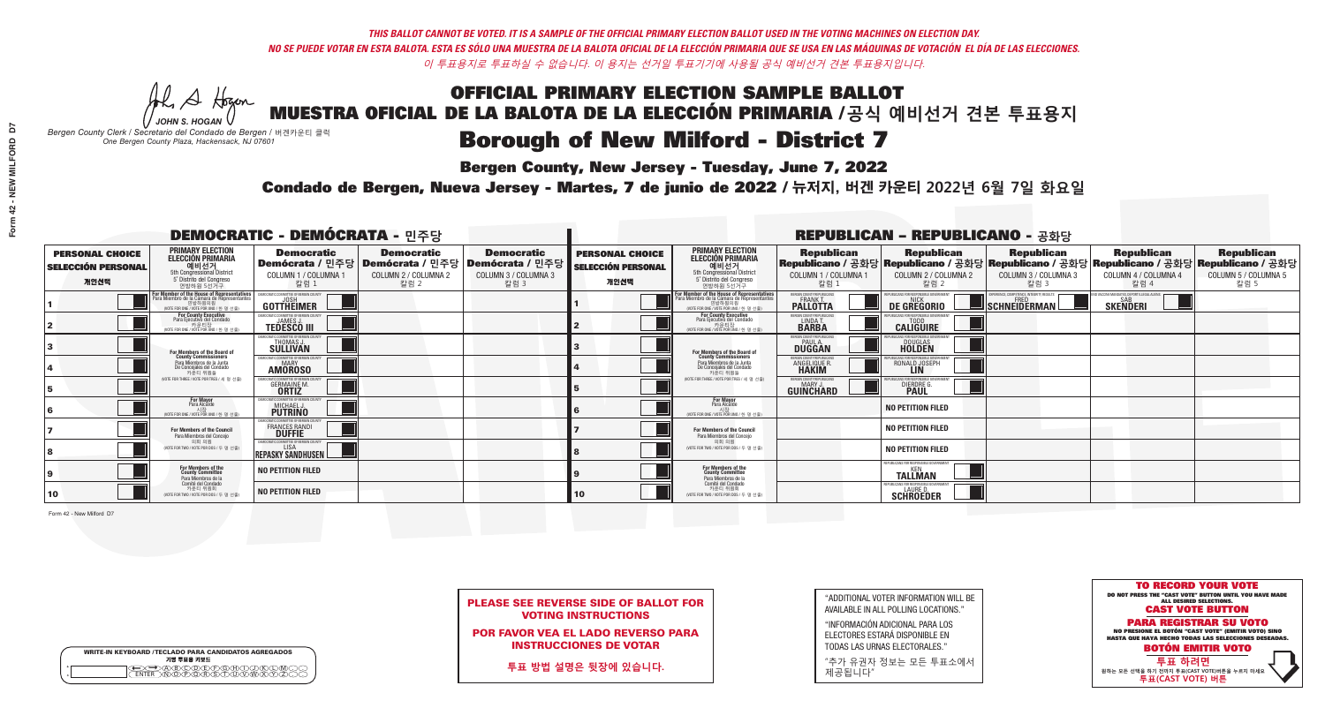A Hogan

### OFFICIAL PRIMARY ELECTION SAMPLE BALLOT MUESTRA OFICIAL DE LA BALOTA DE LA ELECCIÓN PRIMARIA /**공식 예비선거 견본 투표용지**

*JOHN S. HOGAN Bergen County Clerk / Secretario del Condado de Bergen /* 버겐카운티 클럭 *One Bergen County Plaza, Hackensack, NJ 07601*

Borough of New Milford - District 7

**Bergen County, New Jersey - Tuesday, June 7, 2022** 

Condado de Bergen, Nueva Jersey - Martes, 7 de junio de 2022 / 뉴저지, 버겐 카운티 2022년 6월 7일 화요일 *One Bergen County Plaza, Hackensack, NJ 07601*



PLEASE SEE REVERSE SIDE OF BALLOT FOR VOTING INSTRUCTIONS

POR FAVOR VEA EL LADO REVERSO PARA INSTRUCCIONES DE VOTAR

**투표 방법 설명은 뒷장에 있습니다.**

| "ADDITIONAL VOTER INFORMATION WILL BE |
|---------------------------------------|
| AVAILABLE IN ALL POLLING LOCATIONS."  |

"INFORMACIÓN ADICIONAL PARA LOS ELECTORES ESTARÁ DISPONIBLE EN TODAS LAS URNAS ELECTORALES."

"추가 유권자 정보는 모든 투표소에서 제공됩니다"

Form 42 - New Milford D7

| <b>WRITE-IN KEYBOARD /TECLADO PARA CANDIDATOS AGREGADOS</b> |  |
|-------------------------------------------------------------|--|
| 기명 투표용 키보드                                                  |  |

 $\bigoplus \bigoplus \mathbb{A} \oplus \mathbb{C} \oplus \mathbb{C} \oplus \mathbb{C} \oplus \mathbb{C} \oplus \mathbb{C} \cup \mathbb{W} \oplus \mathbb{Z} \oplus \mathbb{Z} \oplus \mathbb{C}$ 

|                                                             |                                                                                                                                               | <b>DEMOCRATIC - DEMÓCRATA - 민주당</b>                              |                                                   |                                                                                                        |                                                             |                                                                                                                                   |                                                             | <b>REPUBLICAN - REPUBLICANO - 공화당</b>                   |                                                                                                                                                 |                                                             |                                                   |
|-------------------------------------------------------------|-----------------------------------------------------------------------------------------------------------------------------------------------|------------------------------------------------------------------|---------------------------------------------------|--------------------------------------------------------------------------------------------------------|-------------------------------------------------------------|-----------------------------------------------------------------------------------------------------------------------------------|-------------------------------------------------------------|---------------------------------------------------------|-------------------------------------------------------------------------------------------------------------------------------------------------|-------------------------------------------------------------|---------------------------------------------------|
| <b>PERSONAL CHOICE</b><br><b>SELECCIÓN PERSONAL</b><br>개인선택 | <b>PRIMARY ELECTION</b><br><b>ELECCIÓN PRIMARIA</b><br>예비선거<br><sup>5th</sup> Congressional District<br>5° Distrito del Congreso<br>연방하원 5선거구 | <b>Democratic</b><br>COLUMN 1 / COLUMNA 1<br>칼럼 1                | <b>Democratic</b><br>COLUMN 2 / COLUMNA 2<br>칼럼 2 | <b>Democratic</b><br>│Demócrata / 민주당│Demócrata / 민주당│Demócrata / 민주당│<br>COLUMN 3 / COLUMNA 3<br>칼럼 3 | <b>PERSONAL CHOICE</b><br><b>SELECCIÓN PERSONAL</b><br>개인선택 | <b>PRIMARY ELECTION</b><br>ELECCIÓN PRIMARIA<br>5th Congressional District<br>5° Distrito del Congreso<br>연방하원 5선거구               | <b>Republican</b><br>COLUMN 1 / COLUMNA 1<br>칼럼             | <b>Republican</b><br>COLUMN 2 / COLUMNA 2<br>칼럼 2       | <b>Republican</b><br>│Republicano / 공화당│Republicano / 공화당│Republicano / 공화당│Republicano / 공화당│Republicano / 공화당<br>COLUMN 3 / COLUMNA 3<br>칼럼 3 | <b>Republican</b><br>COLUMN 4 / COLUMNA 4<br>칼럼 4           | <b>Republican</b><br>COLUMN 5 / COLUMNA 5<br>칼럼 5 |
|                                                             | For Member of the House of Representatives<br>Para Miembro de la Cámara de Representantes<br>연방하원의원<br>(VOTE FOR ONE / VOTE POR UNO / 한 명 선출  | DEMOCRATIC COMMITTEE OF BERGEN COUNTY                            |                                                   |                                                                                                        |                                                             | For Member of the House of Representatives<br>Para Miembro de la Cámara de Representantes<br>WOTE FOR ONE / VOTE POR UNO / 한 명 선출 | BERGEN COUNTY REPUBLICANS<br>FRANK T.<br><b>PALLOTTA</b>    | DE GREGORIO                                             | EXPERIENCE, COMPETENCE, INTEGRITY, RESULTS<br>SCHNEIDERMAN                                                                                      | VACCINE MANDATES, DEPORT ILLEGAL ALIENS.<br><b>SKENDERI</b> |                                                   |
|                                                             | For County Executive<br>Para Ejecutivo del Condado<br>가운티장<br>(VOTE FOR ONE / VOTE POR UNO / 한 명 선출)                                          | <b>TEDESCO III</b>                                               |                                                   |                                                                                                        |                                                             | <b>For County Executive</b><br>Para Ejecutivo del Condado<br>WOTE FOR ONE / VOTE POR UNO / 한 명 선출                                 | BERGEN COUNTY REPUBLICAN<br>LINDA T.                        | <b>CALIGUIRE</b>                                        |                                                                                                                                                 |                                                             |                                                   |
|                                                             | <b>For Members of the Board of<br/>County Commissioners</b>                                                                                   | <b>EMOCRATIC COMMITTEE OF BERGEN COUNT</b><br>THOMAS J.          |                                                   |                                                                                                        |                                                             | For Members of the Board of<br>County Commissioners                                                                               | BERGEN COUNTY REPUBLICAN<br><b>PAUL A.</b><br><b>DUGGAN</b> | <b>DOUGLAS</b>                                          |                                                                                                                                                 |                                                             |                                                   |
|                                                             | Para Miembros de la Junta<br>De Concejales del Condado<br>카우티 위원들                                                                             | MOCRATIC COMMITTEE OF BERGEN COUNTY<br><b>AMOROSO</b>            |                                                   |                                                                                                        |                                                             | Para Miembros de la Junta<br>De Concejales del Condado<br>카우티 위원들                                                                 | ERGEN COUNTY REPUBLICA<br>ANGELIQUE R.                      | RONALD JOSEPH<br><b>LIN</b>                             |                                                                                                                                                 |                                                             |                                                   |
|                                                             | NOTE FOR THREE / VOTE POR TRES / 세 명 선출)                                                                                                      | RATIC COMMITTEE OF RERGEN CI<br><b>GERMAINE M.</b>               |                                                   |                                                                                                        |                                                             | NOTE FOR THREE / VOTE POR TRES / 세 명 선출)                                                                                          | ERGEN COUNTY REPUBLICAN<br>MARY J<br>GUINCHARD              | DIERDRE G                                               |                                                                                                                                                 |                                                             |                                                   |
|                                                             | <b>For Mayor</b><br>Para Alcalde                                                                                                              | OCRATIC COMMITTEE OF BERGEN COUNTY<br>MICHAEL J.                 |                                                   |                                                                                                        |                                                             | <b>For Mayor</b><br>Para Alcalde<br>WOTE FOR ONE / VOTE POR UNO / 한 명 선출                                                          |                                                             | <b>NO PETITION FILED</b>                                |                                                                                                                                                 |                                                             |                                                   |
|                                                             | For Members of the Council<br>Para Miembros del Conceio                                                                                       | MOCRATIC COMMITTEE OF BERGEN COUNT<br>FRANCES RANDI              |                                                   |                                                                                                        |                                                             | For Members of the Council<br>Para Miembros del Conceio                                                                           |                                                             | <b>NO PETITION FILED</b>                                |                                                                                                                                                 |                                                             |                                                   |
|                                                             | 의회 의원<br>(VOTE FOR TWO / VOTE POR DOS / 두 명 선출)                                                                                               | <b>EMOCRATIC COMMITTEE OF BERGEN COUNTY</b><br>REPASKY SANDHUSEN |                                                   |                                                                                                        |                                                             | 이히 이워<br>NOTE FOR TWO / VOTE POR DOS / 두 명 선출)                                                                                    |                                                             | <b>NO PETITION FILED</b>                                |                                                                                                                                                 |                                                             |                                                   |
|                                                             | For Members of the<br>County Committee<br>Para Miembros de la                                                                                 | <b>NO PETITION FILED</b>                                         |                                                   |                                                                                                        |                                                             | For Members of the<br>County Committee<br>Para Miembros de la<br>Comité del Condado                                               |                                                             | EPUBLICANS FOR RESPONSIBLE GOVERNMENT<br><b>TALLMAN</b> |                                                                                                                                                 |                                                             |                                                   |
| 10                                                          | Comité del Condado<br>카운티 위원회<br>(VOTE FOR TWO / VOTE POR DOS / 두 명 선출)                                                                       | <b>NO PETITION FILED</b>                                         |                                                   |                                                                                                        | 10                                                          | 카운티 위원회<br>(VOTE FOR TWO / VOTE POR DOS / 두 명 선출)                                                                                 |                                                             | PUBLICANS FOR RESPONSIBLE GOV:<br><b>SCHROEDER</b>      |                                                                                                                                                 |                                                             |                                                   |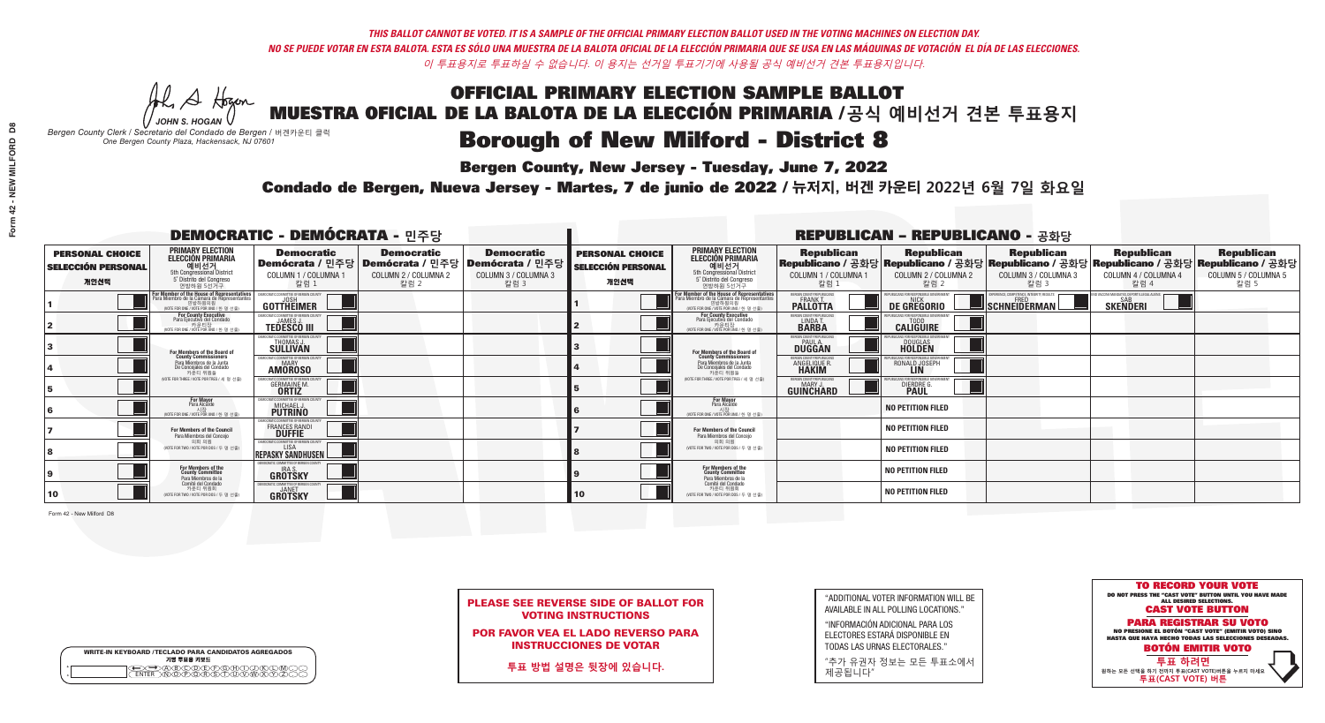A Hogan

| <b>WRITE-IN KEYBOARD /TECLADO PARA CANDIDATOS AGREGADOS</b><br>기명 투표용 키보드 |  |
|---------------------------------------------------------------------------|--|
| )BCDDE/F)G/F)A<br>ነ <u>ቅ</u> ለአል የአ                                       |  |

MUESTRA OFICIAL DE LA BALOTA DE LA ELECCIÓN PRIMARIA /**공식 예비선거 견본 투표용지** *JOHN S. HOGAN*

*Bergen County Clerk / Secretario del Condado de Bergen /* 버겐카운티 클럭 *One Bergen County Plaza, Hackensack, NJ 07601*

### Borough of New Milford - District 8

**Bergen County, New Jersey - Tuesday, June 7, 2022** 

Condado de Bergen, Nueva Jersey - Martes, 7 de junio de 2022 / 뉴저지, 버겐 카운티 2022년 6월 7일 화요일 *One Bergen County Plaza, Hackensack, NJ 07601*



PLEASE SEE REVERSE SIDE OF BALLOT FOR VOTING INSTRUCTIONS

POR FAVOR VEA EL LADO REVERSO PARA INSTRUCCIONES DE VOTAR

**투표 방법 설명은 뒷장에 있습니다.**

| "ADDITIONAL VOTER INFORMATION WILL BE |
|---------------------------------------|
| AVAILABLE IN ALL POLLING LOCATIONS."  |

"INFORMACIÓN ADICIONAL PARA LOS ELECTORES ESTARÁ DISPONIBLE EN TODAS LAS URNAS ELECTORALES."

"추가 유권자 정보는 모든 투표소에서 제공됩니다"

|                                                             | <b>DEMOCRATIC - DEMÓCRATA - 민주당</b> |                                                                                                                                                   |                                                                          |                                                   |                                                                                                        |                                                             | <b>REPUBLICAN - REPUBLICANO - 공화당</b>                                                                                                        |                                                            |                                                   |                                                                                                                                                |                                                   |                                                   |  |
|-------------------------------------------------------------|-------------------------------------|---------------------------------------------------------------------------------------------------------------------------------------------------|--------------------------------------------------------------------------|---------------------------------------------------|--------------------------------------------------------------------------------------------------------|-------------------------------------------------------------|----------------------------------------------------------------------------------------------------------------------------------------------|------------------------------------------------------------|---------------------------------------------------|------------------------------------------------------------------------------------------------------------------------------------------------|---------------------------------------------------|---------------------------------------------------|--|
| <b>PERSONAL CHOICE</b><br><b>SELECCIÓN PERSONAL</b><br>개인선택 |                                     | <b>PRIMARY ELECTION</b><br><b>ELECCIÓN PRIMARIA</b><br>예비선거<br><sup>5th</sup> Congressional District<br>5° Distrito del Congreso<br>연방하원 5선거구     | <b>Democratic</b><br>COLUMN 1 / COLUMNA 1<br>칼럼 1                        | <b>Democratic</b><br>COLUMN 2 / COLUMNA 2<br>칼럼 2 | <b>Democratic</b><br>│Demócrata / 민주당│Demócrata / 민주당│Demócrata / 민주당│<br>COLUMN 3 / COLUMNA 3<br>칼럼 3 | <b>PERSONAL CHOICE</b><br><b>SELECCIÓN PERSONAL</b><br>개인선택 | <b>PRIMARY ELECTION</b><br><b>ELECCIÓN PRIMARIA</b><br><u>[예비선거]</u><br>5th Congressional District<br>5° Distrito del Congreso<br>연방하원 5선거구  | <b>Republican</b><br>COLUMN 1 / COLUMNA 1<br>칼럼 1          | <b>Republican</b><br>COLUMN 2 / COLUMNA 2<br>칼럼 2 | <b>Republican</b><br>Republicano / 공화당 Republicano / 공화당 Republicano / 공화당 Republicano / 공화당 Republicano / 공화당<br>COLUMN 3 / COLUMNA 3<br>칼럼 3 | <b>Republican</b><br>COLUMN 4 / COLUMNA 4<br>칼럼 4 | <b>Republican</b><br>COLUMN 5 / COLUMNA 5<br>칼럼 5 |  |
|                                                             |                                     | <b>In Member of the House of Representatives<br/>Ira Miembro de la Cámara de Representantes</b><br>연방하원의원<br>(VOTE FOR ONE / VOTE POR UNO / 한명선출) | <b>DMMITTEE OF BERGEN CO</b><br>GOTTHEIMER                               |                                                   |                                                                                                        |                                                             | For Member of the House of Representatives<br>Para Miembro de la Cámara de Representantes<br>연방하원의원<br>(VOTE FOR ONE / VOTE POR UNO / 한 명 선출 | BERGEN COUNTY REPUBLICANS<br><b>PALLOTTA</b>               | DE GREGORIO                                       | PERIENCE, COMPETENCE, INTEGRITY, RESULTS<br>SCHNEIDERMAN                                                                                       | <b>SKENDERI</b>                                   |                                                   |  |
|                                                             |                                     | <b>For County Executive</b><br>Para Ejecutivo del Condado<br>가운티장<br>(VOTE FOR ONE / VOTE POR UNO / 한 명 선출)                                       | )EMOCRATIC COMMITTEE OF BERGEN COUNTY<br><b>TEDESCO III</b>              |                                                   |                                                                                                        |                                                             | <b>For County Executive</b><br>Para Ejecutivo del Condado<br>7) 카운티장<br>(VOTE FOR ONE / VOTE POR UNO / 한 명 선출)                               | BERGEN COUNTY REPUBLICAN<br>LINDA T.                       | <b>CALIGUIRE</b>                                  |                                                                                                                                                |                                                   |                                                   |  |
|                                                             |                                     | For Members of the Board of<br>County Commissioners                                                                                               | <b>SULLIVAN</b>                                                          |                                                   |                                                                                                        |                                                             | For Members of the Board of<br>County Commissioners                                                                                          | ERGEN COUNTY REPUBLICAN<br><b>PAUL A.</b><br><b>DUGGAN</b> | <b>DOUGLAS</b><br><b>HOLDEN</b>                   |                                                                                                                                                |                                                   |                                                   |  |
|                                                             |                                     | Para Miembros de la Junta<br>De Concejales del Condado<br>카우티 위원들                                                                                 | MOCRATIC COMMITTEE OF BERGEN COUNT<br><b>AMOROSO</b>                     |                                                   |                                                                                                        |                                                             | Para Miembros de la Junta<br>De Concejales del Condado<br>카운티 위원들                                                                            | ERGEN COUNTY REPUBLICAN<br>ANGELIQUE R.                    | RONALD JOSEPH<br><b>LIN</b>                       |                                                                                                                                                |                                                   |                                                   |  |
|                                                             |                                     | NOTE FOR THREE / VOTE POR TRES / 세 명 선출)                                                                                                          | <b>GERMAINE M.</b>                                                       |                                                   |                                                                                                        |                                                             | NOTE FOR THREE / VOTE POR TRES / 세 명 선출)                                                                                                     | ERGEN COUNTY REPUBLICANS<br><b>GUINCHARD</b>               | DIERDRE G                                         |                                                                                                                                                |                                                   |                                                   |  |
|                                                             |                                     | For Mayor<br>Para Alcalde<br>시장<br>(VOTE FOR ONE / VOTE POR UNO / 한 명 선출)                                                                         | MOCRATIC COMMITTEE OF BERGEN COUNT<br>MICHAEL J.                         |                                                   |                                                                                                        |                                                             | <b>For Mayor</b><br>Para Alcalde<br>NOTE FOR ONE / VOTE POR UNO / 한 명 선출                                                                     |                                                            | <b>NO PETITION FILED</b>                          |                                                                                                                                                |                                                   |                                                   |  |
|                                                             |                                     | <b>For Members of the Council</b><br>Para Miembros del Concejo                                                                                    | 10CRATIC COMMITTEE OF BERGEN COUNT<br><b>FRANCES RANDI</b>               |                                                   |                                                                                                        |                                                             | <b>For Members of the Council</b><br>Para Miembros del Concejo                                                                               |                                                            | <b>NO PETITION FILED</b>                          |                                                                                                                                                |                                                   |                                                   |  |
|                                                             |                                     | 의회 의원<br>(VOTE FOR TWO / VOTE POR DOS / 두 명 선출)                                                                                                   | EMOCRATIC COMMITTEE OF BERGEN COUNTY<br><b>LISA</b><br>REPASKY SANDHUSEN |                                                   |                                                                                                        |                                                             | 의회 의원<br>(VOTE FOR TWO / VOTE POR DOS / 두 명 선출)                                                                                              |                                                            | <b>NO PETITION FILED</b>                          |                                                                                                                                                |                                                   |                                                   |  |
|                                                             |                                     | For Members of the<br>County Committee<br>Para Miembros de la                                                                                     | RATIC COMMITTEE OF BERGEN COUNTY<br><b>GROTSKY</b>                       |                                                   |                                                                                                        |                                                             | For Members of the<br>County Committee<br>Para Miembros de la<br>Comité del Condado                                                          |                                                            | <b>NO PETITION FILED</b>                          |                                                                                                                                                |                                                   |                                                   |  |
| 10                                                          |                                     | Comité del Condado<br>카운티 위원회<br>(VOTE FOR TWO / VOTE POR DOS / 두 명 선출)                                                                           | MOCRATIC COMMITTEE OF BERGEN COUNTY<br><b>GROTSKY</b>                    |                                                   |                                                                                                        | 10                                                          | 카운티 위원회<br>(VOTE FOR TWO / VOTE POR DOS / 두 명 선출)                                                                                            |                                                            | <b>NO PETITION FILED</b>                          |                                                                                                                                                |                                                   |                                                   |  |